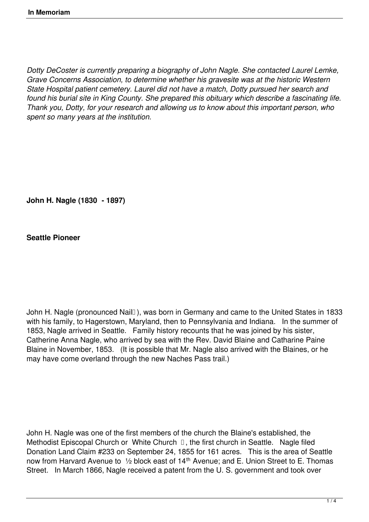*Dotty DeCoster is currently preparing a biography of John Nagle. She contacted Laurel Lemke, Grave Concerns Association, to determine whether his gravesite was at the historic Western State Hospital patient cemetery. Laurel did not have a match, Dotty pursued her search and found his burial site in King County. She prepared this obituary which describe a fascinating life. Thank you, Dotty, for your research and allowing us to know about this important person, who spent so many years at the institution.*

**John H. Nagle (1830 - 1897)**

**Seattle Pioneer**

John H. Nagle (pronounced Nail<sup>[1]</sup>), was born in Germany and came to the United States in 1833 with his family, to Hagerstown, Maryland, then to Pennsylvania and Indiana. In the summer of 1853, Nagle arrived in Seattle. Family history recounts that he was joined by his sister, Catherine Anna Nagle, who arrived by sea with the Rev. David Blaine and Catharine Paine Blaine in November, 1853. (It is possible that Mr. Nagle also arrived with the Blaines, or he may have come overland through the new Naches Pass trail.)

John H. Nagle was one of the first members of the church the Blaine's established, the Methodist Episcopal Church or White Church  $\Box$ , the first church in Seattle. Nagle filed Donation Land Claim #233 on September 24, 1855 for 161 acres. This is the area of Seattle now from Harvard Avenue to 1/2 block east of 14<sup>th</sup> Avenue; and E. Union Street to E. Thomas Street. In March 1866, Nagle received a patent from the U.S. government and took over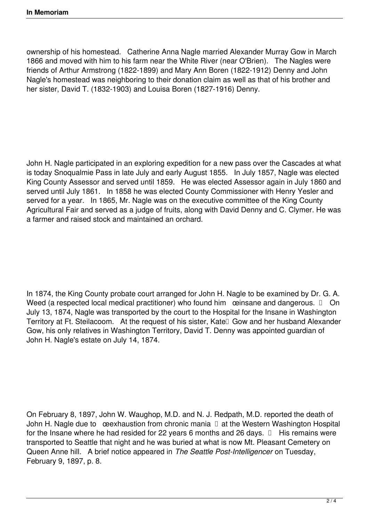ownership of his homestead. Catherine Anna Nagle married Alexander Murray Gow in March 1866 and moved with him to his farm near the White River (near O'Brien). The Nagles were friends of Arthur Armstrong (1822-1899) and Mary Ann Boren (1822-1912) Denny and John Nagle's homestead was neighboring to their donation claim as well as that of his brother and her sister, David T. (1832-1903) and Louisa Boren (1827-1916) Denny.

John H. Nagle participated in an exploring expedition for a new pass over the Cascades at what is today Snoqualmie Pass in late July and early August 1855. In July 1857, Nagle was elected King County Assessor and served until 1859. He was elected Assessor again in July 1860 and served until July 1861. In 1858 he was elected County Commissioner with Henry Yesler and served for a year. In 1865, Mr. Nagle was on the executive committee of the King County Agricultural Fair and served as a judge of fruits, along with David Denny and C. Clymer. He was a farmer and raised stock and maintained an orchard.

In 1874, the King County probate court arranged for John H. Nagle to be examined by Dr. G. A. Weed (a respected local medical practitioner) who found him œinsane and dangerous. On July 13, 1874, Nagle was transported by the court to the Hospital for the Insane in Washington Territory at Ft. Steilacoom. At the request of his sister, Katel Gow and her husband Alexander Gow, his only relatives in Washington Territory, David T. Denny was appointed guardian of John H. Nagle's estate on July 14, 1874.

On February 8, 1897, John W. Waughop, M.D. and N. J. Redpath, M.D. reported the death of John H. Nagle due to  $\alpha$  eexhaustion from chronic mania  $\Box$  at the Western Washington Hospital for the Insane where he had resided for 22 years 6 months and 26 days.  $\Box$  His remains were transported to Seattle that night and he was buried at what is now Mt. Pleasant Cemetery on Queen Anne hill. A brief notice appeared in *The Seattle Post-Intelligencer* on Tuesday, February 9, 1897, p. 8.